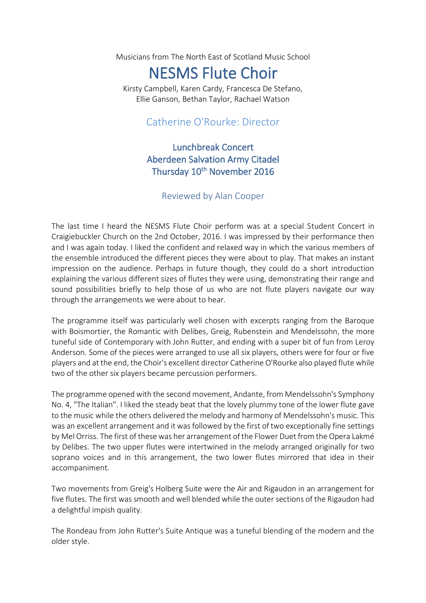Musicians from The North East of Scotland Music School

## NESMS Flute Choir

Kirsty Campbell, Karen Cardy, Francesca De Stefano, Ellie Ganson, Bethan Taylor, Rachael Watson

## Catherine O'Rourke: Director

## Lunchbreak Concert Aberdeen Salvation Army Citadel Thursday 10<sup>th</sup> November 2016

## Reviewed by Alan Cooper

The last time I heard the NESMS Flute Choir perform was at a special Student Concert in Craigiebuckler Church on the 2nd October, 2016. I was impressed by their performance then and I was again today. I liked the confident and relaxed way in which the various members of the ensemble introduced the different pieces they were about to play. That makes an instant impression on the audience. Perhaps in future though, they could do a short introduction explaining the various different sizes of flutes they were using, demonstrating their range and sound possibilities briefly to help those of us who are not flute players navigate our way through the arrangements we were about to hear.

The programme itself was particularly well chosen with excerpts ranging from the Baroque with Boismortier, the Romantic with Delibes, Greig, Rubenstein and Mendelssohn, the more tuneful side of Contemporary with John Rutter, and ending with a super bit of fun from Leroy Anderson. Some of the pieces were arranged to use all six players, others were for four or five players and at the end, the Choir's excellent director Catherine O'Rourke also played flute while two of the other six players became percussion performers.

The programme opened with the second movement, Andante, from Mendelssohn's Symphony No. 4, "The Italian". I liked the steady beat that the lovely plummy tone of the lower flute gave to the music while the others delivered the melody and harmony of Mendelssohn's music. This was an excellent arrangement and it was followed by the first of two exceptionally fine settings by Mel Orriss. The first of these was her arrangement of the Flower Duet from the Opera Lakmé by Delibes. The two upper flutes were intertwined in the melody arranged originally for two soprano voices and in this arrangement, the two lower flutes mirrored that idea in their accompaniment.

Two movements from Greig's Holberg Suite were the Air and Rigaudon in an arrangement for five flutes. The first was smooth and well blended while the outer sections of the Rigaudon had a delightful impish quality.

The Rondeau from John Rutter's Suite Antique was a tuneful blending of the modern and the older style.